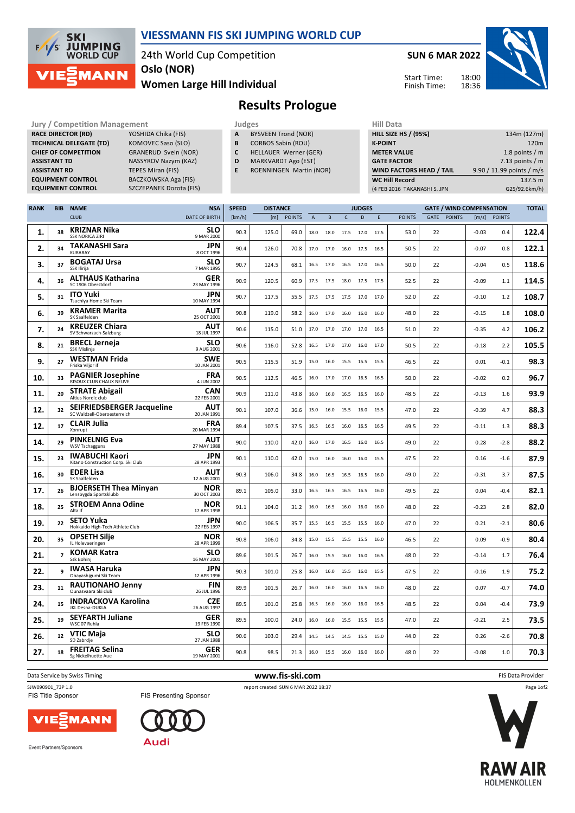

## **VIESSMANN FIS SKI JUMPING WORLD CUP**

24th World Cup Competition

**Women Large Hill Individual Oslo (NOR)**

**SUN 6 MAR 2022**

Start Time: Finish Time:



**Results Prologue**

| <b>Jury / Competition Management</b> |                                | Judges |                                | <b>Hill Data</b>   |
|--------------------------------------|--------------------------------|--------|--------------------------------|--------------------|
| <b>RACE DIRECTOR (RD)</b>            | YOSHIDA Chika (FIS)            | A      | <b>BYSVEEN Trond (NOR)</b>     | <b>HILL SIZE H</b> |
| <b>TECHNICAL DELEGATE (TD)</b>       | KOMOVEC Saso (SLO)             | B      | <b>CORBOS Sabin (ROU)</b>      | <b>K-POINT</b>     |
| <b>CHIEF OF COMPETITION</b>          | <b>GRANERUD Svein (NOR)</b>    |        | HELLAUER Werner (GER)          | <b>METER VA</b>    |
| <b>ASSISTANT TD</b>                  | NASSYROV Nazym (KAZ)           | D      | <b>MARKVARDT Ago (EST)</b>     | <b>GATE FACT</b>   |
| <b>ASSISTANT RD</b>                  | TEPES Miran (FIS)              | E      | <b>ROENNINGEN Martin (NOR)</b> | <b>WIND FAC</b>    |
| <b>EQUIPMENT CONTROL</b>             | BACZKOWSKA Aga (FIS)           |        |                                | <b>WC Hill Re</b>  |
| <b>EQUIPMENT CONTROL</b>             | <b>SZCZEPANEK Dorota (FIS)</b> |        |                                | (4 FEB 2016)       |

- **A** BYSVEEN Trond (NOR)
- **B** CORBOS Sabin (ROU)
- **C** HELLAUER Werner (GER)
- **D** MARKVARDT Ago (EST)
- **E** ROENNINGEN Martin (NOR)

| (4 FEB 2016 TAKANASHI S. JPN    | G25/92.6km/h)             |
|---------------------------------|---------------------------|
| <b>WC Hill Record</b>           | 137.5 m                   |
| <b>WIND FACTORS HEAD / TAIL</b> | 9.90 / 11.99 points / m/s |
| <b>GATE FACTOR</b>              | 7.13 points $/m$          |
| <b>METER VALUE</b>              | 1.8 points $/m$           |
| <b>K-POINT</b>                  | 120 <sub>m</sub>          |
| <b>HILL SIZE HS / (95%)</b>     | 134m (127m)               |
| нш рата                         |                           |

| <b>RANK</b> | <b>BIB</b>     | <b>NAME</b>                                                      | <b>NSA</b>                | <b>SPEED</b> | <b>DISTANCE</b> |               |                |           |                | <b>JUDGES</b> |      |               |      |               | <b>GATE / WIND COMPENSATION</b> |               | <b>TOTAL</b> |
|-------------|----------------|------------------------------------------------------------------|---------------------------|--------------|-----------------|---------------|----------------|-----------|----------------|---------------|------|---------------|------|---------------|---------------------------------|---------------|--------------|
|             |                | <b>CLUB</b>                                                      | <b>DATE OF BIRTH</b>      | [km/h]       | [m]             | <b>POINTS</b> | $\overline{A}$ | B         | $\mathsf{C}$   | D             | E    | <b>POINTS</b> | GATE | <b>POINTS</b> | [m/s]                           | <b>POINTS</b> |              |
| 1.          | 38             | <b>KRIZNAR Nika</b><br><b>SSK NORICA ZIRI</b>                    | <b>SLO</b><br>9 MAR 2000  | 90.3         | 125.0           | 69.0          | 18.0           | 18.0      | 17.5           | 17.0          | 17.5 | 53.0          | 22   |               | $-0.03$                         | 0.4           | 122.4        |
| 2.          | 34             | <b>TAKANASHI Sara</b><br>KURARAY                                 | <b>JPN</b><br>8 OCT 1996  | 90.4         | 126.0           | 70.8          | 17.0           | 17.0      | 16.0           | 17.5          | 16.5 | 50.5          | 22   |               | $-0.07$                         | 0.8           | 122.1        |
| 3.          | 37             | <b>BOGATAJ Ursa</b><br><b>SSK Ilirija</b>                        | <b>SLO</b><br>7 MAR 1995  | 90.7         | 124.5           | 68.1          | 16.5           | 17.0      | 16.5           | 17.0          | 16.5 | 50.0          | 22   |               | $-0.04$                         | 0.5           | 118.6        |
| 4.          | 36             | <b>ALTHAUS Katharina</b><br>SC 1906 Oberstdorf                   | <b>GER</b><br>23 MAY 1996 | 90.9         | 120.5           | 60.9          | 17.5           | 17.5 18.0 |                | 17.5          | 17.5 | 52.5          | 22   |               | $-0.09$                         | 1.1           | 114.5        |
| 5.          | 31             | <b>ITO Yuki</b><br>Tsuchiya Home Ski Team                        | <b>JPN</b><br>10 MAY 1994 | 90.7         | 117.5           | 55.5          | 17.5           | 17.5      | 17.5           | 17.0          | 17.0 | 52.0          | 22   |               | $-0.10$                         | 1.2           | 108.7        |
| 6.          | 39             | <b>KRAMER Marita</b><br>SK Saalfelden                            | AUT<br>25 OCT 2001        | 90.8         | 119.0           | 58.2          | 16.0           | 17.0      | 16.0           | 16.0          | 16.0 | 48.0          | 22   |               | $-0.15$                         | 1.8           | 108.0        |
| 7.          | 24             | <b>KREUZER Chiara</b><br>SV Schwarzach-Salzburg                  | AUT<br>18 JUL 1997        | 90.6         | 115.0           | 51.0          | 17.0           | 17.0      | 17.0           | 17.0          | 16.5 | 51.0          | 22   |               | $-0.35$                         | 4.2           | 106.2        |
| 8.          | 21             | <b>BRECL Jerneja</b><br>SSK Mislinja                             | <b>SLO</b><br>9 AUG 2001  | 90.6         | 116.0           | 52.8          | 16.5           | 17.0      | 17.0           | 16.0          | 17.0 | 50.5          | 22   |               | $-0.18$                         | 2.2           | 105.5        |
| 9.          | 27             | <b>WESTMAN Frida</b><br>Friska Viljor if                         | <b>SWE</b><br>10 JAN 2001 | 90.5         | 115.5           | 51.9          | 15.0           |           | 16.0 15.5 15.5 |               | 15.5 | 46.5          | 22   |               | 0.01                            | $-0.1$        | 98.3         |
| 10.         | 33             | <b>PAGNIER Josephine</b><br>RISOUX CLUB CHAUX NEUVE              | <b>FRA</b><br>4 JUN 2002  | 90.5         | 112.5           | 46.5          | 16.0           | 17.0      | 17.0           | 16.5          | 16.5 | 50.0          | 22   |               | $-0.02$                         | 0.2           | 96.7         |
| 11.         | 20             | <b>STRATE Abigail</b><br>Altius Nordic club                      | <b>CAN</b><br>22 FEB 2001 | 90.9         | 111.0           | 43.8          | 16.0           | 16.0      | 16.5           | 16.5          | 16.0 | 48.5          | 22   |               | $-0.13$                         | 1.6           | 93.9         |
| 12.         | 32             | <b>SEIFRIEDSBERGER Jacqueline</b><br>SC Waldzell-Oberoesterreich | AUT<br>20 JAN 1991        | 90.1         | 107.0           | 36.6          | 15.0           | 16.0      | 15.5           | 16.0          | 15.5 | 47.0          | 22   |               | $-0.39$                         | 4.7           | 88.3         |
| 12.         | 17             | <b>CLAIR Julia</b><br>Xonrupt                                    | <b>FRA</b><br>20 MAR 1994 | 89.4         | 107.5           | 37.5          | 16.5           | 16.5      | 16.0           | 16.5          | 16.5 | 49.5          | 22   |               | $-0.11$                         | 1.3           | 88.3         |
| 14.         | 29             | <b>PINKELNIG Eva</b><br><b>WSV Tschagguns</b>                    | AUT<br>27 MAY 1988        | 90.0         | 110.0           | 42.0          | 16.0           | 17.0      | 16.5           | 16.0          | 16.5 | 49.0          | 22   |               | 0.28                            | $-2.8$        | 88.2         |
| 15.         | 23             | <b>IWABUCHI Kaori</b><br>Kitano Construction Corp. Ski Club      | <b>JPN</b><br>28 APR 1993 | 90.1         | 110.0           | 42.0          | 15.0           | 16.0      | 16.0           | 16.0          | 15.5 | 47.5          | 22   |               | 0.16                            | $-1.6$        | 87.9         |
| 16.         | 30             | <b>EDER Lisa</b><br>SK Saalfelden                                | AUT<br>12 AUG 2001        | 90.3         | 106.0           | 34.8          | 16.0           | 16.5      | 16.5           | 16.5          | 16.0 | 49.0          | 22   |               | $-0.31$                         | 3.7           | 87.5         |
| 17.         | 26             | <b>BJOERSETH Thea Minyan</b><br>Lensbygda Sportsklubb            | <b>NOR</b><br>30 OCT 2003 | 89.1         | 105.0           | 33.0          | 16.5           | 16.5      | 16.5           | 16.5          | 16.0 | 49.5          | 22   |               | 0.04                            | $-0.4$        | 82.1         |
| 18.         | 25             | <b>STROEM Anna Odine</b><br>Alta If                              | <b>NOR</b><br>17 APR 1998 | 91.1         | 104.0           | 31.2          | 16.0           | 16.5      | 16.0           | 16.0          | 16.0 | 48.0          | 22   |               | $-0.23$                         | 2.8           | 82.0         |
| 19.         | 22             | <b>SETO Yuka</b><br>Hokkaido High-Tech Athlete Club              | <b>JPN</b><br>22 FEB 1997 | 90.0         | 106.5           | 35.7          | 15.5           | 16.5      | 15.5           | 15.5          | 16.0 | 47.0          | 22   |               | 0.21                            | $-2.1$        | 80.6         |
| 20.         | 35             | <b>OPSETH Silje</b><br>IL Holevaeringen                          | <b>NOR</b><br>28 APR 1999 | 90.8         | 106.0           | 34.8          | 15.0           | 15.5 15.5 |                | 15.5          | 16.0 | 46.5          | 22   |               | 0.09                            | $-0.9$        | 80.4         |
| 21.         | $\overline{7}$ | <b>KOMAR Katra</b><br>Ssk Bohinj                                 | <b>SLO</b><br>16 MAY 2001 | 89.6         | 101.5           | 26.7          | 16.0           | 15.5      | 16.0           | 16.0          | 16.5 | 48.0          | 22   |               | $-0.14$                         | 1.7           | 76.4         |
| 22.         | 9              | <b>IWASA Haruka</b><br>Obayashigumi Ski Team                     | <b>JPN</b><br>12 APR 1996 | 90.3         | 101.0           | 25.8          | 16.0           | 16.0      | 15.5           | 16.0          | 15.5 | 47.5          | 22   |               | $-0.16$                         | 1.9           | 75.2         |
| 23.         | 11             | <b>RAUTIONAHO Jenny</b><br>Ounasvaara Ski club                   | <b>FIN</b><br>26 JUL 1996 | 89.9         | 101.5           | 26.7          | 16.0           | 16.0      | 16.0           | 16.5          | 16.0 | 48.0          | 22   |               | 0.07                            | $-0.7$        | 74.0         |
| 24.         | 15             | <b>INDRACKOVA Karolina</b><br>JKL Desna-DUKLA                    | <b>CZE</b><br>26 AUG 1997 | 89.5         | 101.0           | 25.8          | 16.5           | 16.0      | 16.0           | 16.0          | 16.5 | 48.5          | 22   |               | 0.04                            | $-0.4$        | 73.9         |
| 25.         | 19             | <b>SEYFARTH Juliane</b><br>WSC 07 Ruhla                          | <b>GER</b><br>19 FEB 1990 | 89.5         | 100.0           | 24.0          | 16.0           | 16.0      | 15.5           | 15.5          | 15.5 | 47.0          | 22   |               | $-0.21$                         | 2.5           | 73.5         |
| 26.         | 12             | <b>VTIC Maja</b><br>SD Zabrdie                                   | <b>SLO</b><br>27 JAN 1988 | 90.6         | 103.0           | 29.4          | 14.5           | 14.5      | 14.5           | 15.5          | 15.0 | 44.0          | 22   |               | 0.26                            | $-2.6$        | 70.8         |
| 27.         | 18             | <b>FREITAG Selina</b><br>Sg Nickelhuette Aue                     | <b>GER</b><br>19 MAY 2001 | 90.8         | 98.5            | 21.3          | 16.0           |           | 15.5 16.0 16.0 |               | 16.0 | 48.0          | 22   |               | $-0.08$                         | 1.0           | 70.3         |



**Data Service by Swiss Timing** FIS Data Provider

FIS Presenting Sponsor





Event Partners/Sponsors



Page 1of2